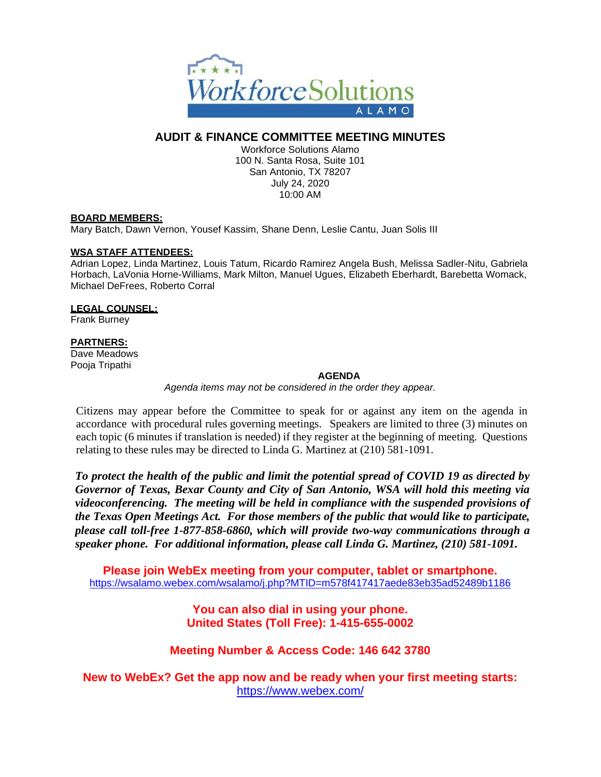

# **AUDIT & FINANCE COMMITTEE MEETING MINUTES**

Workforce Solutions Alamo 100 N. Santa Rosa, Suite 101 San Antonio, TX 78207 July 24, 2020 10:00 AM

## **BOARD MEMBERS:**

Mary Batch, Dawn Vernon, Yousef Kassim, Shane Denn, Leslie Cantu, Juan Solis III

### **WSA STAFF ATTENDEES:**

Adrian Lopez, Linda Martinez, Louis Tatum, Ricardo Ramirez Angela Bush, Melissa Sadler-Nitu, Gabriela Horbach, LaVonia Horne-Williams, Mark Milton, Manuel Ugues, Elizabeth Eberhardt, Barebetta Womack, Michael DeFrees, Roberto Corral

# **LEGAL COUNSEL:**

Frank Burney

## **PARTNERS:**

Dave Meadows Pooja Tripathi

### **AGENDA**

*Agenda items may not be considered in the order they appear.*

Citizens may appear before the Committee to speak for or against any item on the agenda in accordance with procedural rules governing meetings. Speakers are limited to three (3) minutes on each topic (6 minutes if translation is needed) if they register at the beginning of meeting. Questions relating to these rules may be directed to Linda G. Martinez at (210) 581-1091.

*To protect the health of the public and limit the potential spread of COVID 19 as directed by Governor of Texas, Bexar County and City of San Antonio, WSA will hold this meeting via videoconferencing. The meeting will be held in compliance with the suspended provisions of the Texas Open Meetings Act. For those members of the public that would like to participate, please call toll-free 1-877-858-6860, which will provide two-way communications through a speaker phone. For additional information, please call Linda G. Martinez, (210) 581-1091.*

**Please join WebEx meeting from your computer, tablet or smartphone.**  <https://wsalamo.webex.com/wsalamo/j.php?MTID=m578f417417aede83eb35ad52489b1186>

> **You can also dial in using your phone. United States (Toll Free): 1-415-655-0002**

## **Meeting Number & Access Code: 146 642 3780**

**New to WebEx? Get the app now and be ready when your first meeting starts:**  <https://www.webex.com/>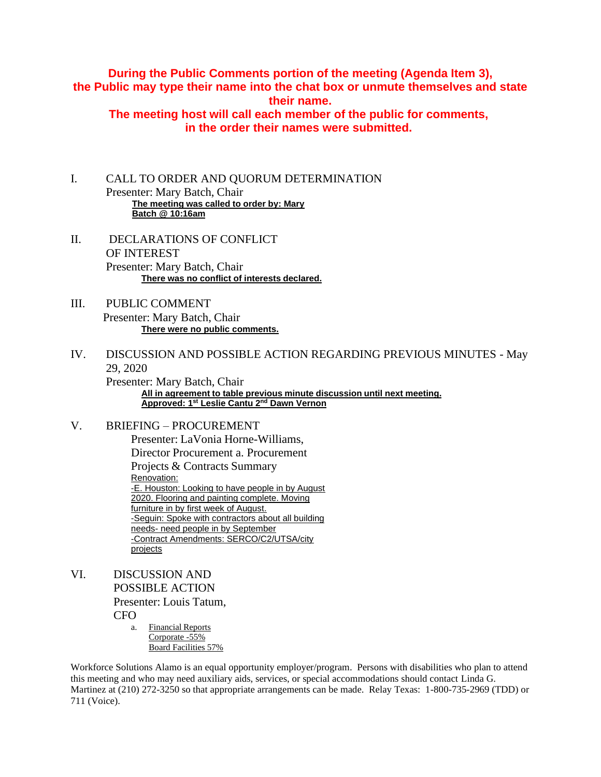# **During the Public Comments portion of the meeting (Agenda Item 3), the Public may type their name into the chat box or unmute themselves and state their name.**

**The meeting host will call each member of the public for comments, in the order their names were submitted.**

I. CALL TO ORDER AND QUORUM DETERMINATION Presenter: Mary Batch, Chair **The meeting was called to order by: Mary Batch @ 10:16am**

- II. DECLARATIONS OF CONFLICT OF INTEREST Presenter: Mary Batch, Chair **There was no conflict of interests declared.**
- III. PUBLIC COMMENT Presenter: Mary Batch, Chair **There were no public comments.**
- IV. DISCUSSION AND POSSIBLE ACTION REGARDING PREVIOUS MINUTES May 29, 2020

Presenter: Mary Batch, Chair **All in agreement to table previous minute discussion until next meeting. Approved: 1st Leslie Cantu 2nd Dawn Vernon**

# V. BRIEFING – PROCUREMENT

Presenter: LaVonia Horne-Williams, Director Procurement a. Procurement Projects & Contracts Summary Renovation: -E. Houston: Looking to have people in by August 2020. Flooring and painting complete. Moving furniture in by first week of August. -Seguin: Spoke with contractors about all building needs- need people in by September -Contract Amendments: SERCO/C2/UTSA/city projects

- VI. DISCUSSION AND POSSIBLE ACTION Presenter: Louis Tatum, CFO
	- a. Financial Reports Corporate -55% Board Facilities 57%

Workforce Solutions Alamo is an equal opportunity employer/program. Persons with disabilities who plan to attend this meeting and who may need auxiliary aids, services, or special accommodations should contact Linda G. Martinez at (210) 272-3250 so that appropriate arrangements can be made. Relay Texas: 1-800-735-2969 (TDD) or 711 (Voice).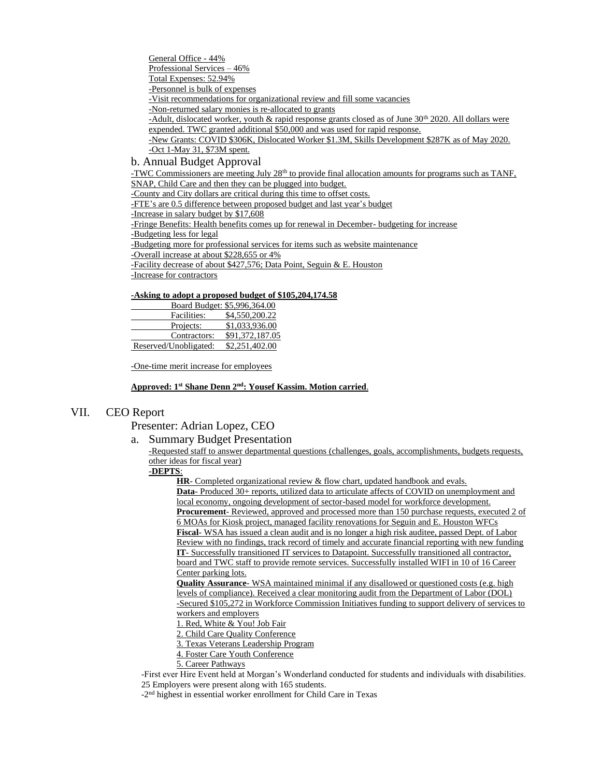General Office - 44% Professional Services – 46% Total Expenses: 52.94% -Personnel is bulk of expenses -Visit recommendations for organizational review and fill some vacancies -Non-returned salary monies is re-allocated to grants -Adult, dislocated worker, youth & rapid response grants closed as of June 30<sup>th</sup> 2020. All dollars were expended. TWC granted additional \$50,000 and was used for rapid response. -New Grants: COVID \$306K, Dislocated Worker \$1.3M, Skills Development \$287K as of May 2020. -Oct 1-May 31, \$73M spent.

b. Annual Budget Approval

-TWC Commissioners are meeting July 28<sup>th</sup> to provide final allocation amounts for programs such as TANF, SNAP, Child Care and then they can be plugged into budget.

-County and City dollars are critical during this time to offset costs.

-FTE's are 0.5 difference between proposed budget and last year's budget

-Increase in salary budget by \$17,608

-Fringe Benefits: Health benefits comes up for renewal in December- budgeting for increase

-Budgeting less for legal

-Budgeting more for professional services for items such as website maintenance

-Overall increase at about \$228,655 or 4%

-Facility decrease of about \$427,576; Data Point, Seguin & E. Houston

-Increase for contractors

#### **-Asking to adopt a proposed budget of \$105,204,174.58**

| Board Budget: \$5,996,364.00 |                 |
|------------------------------|-----------------|
| Facilities:                  | \$4,550,200.22  |
| Projects:                    | \$1,033,936.00  |
| Contractors:                 | \$91,372,187.05 |
| Reserved/Unobligated:        | \$2,251,402.00  |

-One-time merit increase for employees

#### **Approved: 1st Shane Denn 2nd: Yousef Kassim. Motion carried**.

### VII. CEO Report

Presenter: Adrian Lopez, CEO

a. Summary Budget Presentation

-Requested staff to answer departmental questions (challenges, goals, accomplishments, budgets requests, other ideas for fiscal year)

### -**DEPTS**:

**HR**- Completed organizational review & flow chart, updated handbook and evals. **Data-** Produced 30+ reports, utilized data to articulate affects of COVID on unemployment and local economy, ongoing development of sector-based model for workforce development. **Procurement**- Reviewed, approved and processed more than 150 purchase requests, executed 2 of 6 MOAs for Kiosk project, managed facility renovations for Seguin and E. Houston WFCs **Fiscal**- WSA has issued a clean audit and is no longer a high risk auditee, passed Dept. of Labor Review with no findings, track record of timely and accurate financial reporting with new funding **IT**- Successfully transitioned IT services to Datapoint. Successfully transitioned all contractor, board and TWC staff to provide remote services. Successfully installed WIFI in 10 of 16 Career Center parking lots.

**Quality Assurance**- WSA maintained minimal if any disallowed or questioned costs (e.g. high levels of compliance). Received a clear monitoring audit from the Department of Labor (DOL) -Secured \$105,272 in Workforce Commission Initiatives funding to support delivery of services to

workers and employers

1. Red, White & You! Job Fair

2. Child Care Quality Conference

- 3. Texas Veterans Leadership Program
- 4. Foster Care Youth Conference
- 5. Career Pathways

-First ever Hire Event held at Morgan's Wonderland conducted for students and individuals with disabilities. 25 Employers were present along with 165 students.

-2<sup>nd</sup> highest in essential worker enrollment for Child Care in Texas